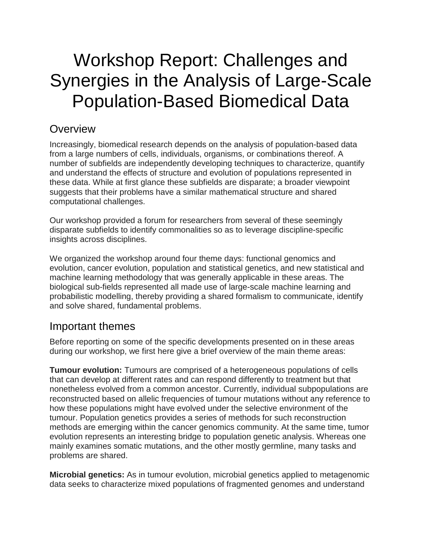# Workshop Report: Challenges and Synergies in the Analysis of Large-Scale Population-Based Biomedical Data

## **Overview**

Increasingly, biomedical research depends on the analysis of population-based data from a large numbers of cells, individuals, organisms, or combinations thereof. A number of subfields are independently developing techniques to characterize, quantify and understand the effects of structure and evolution of populations represented in these data. While at first glance these subfields are disparate; a broader viewpoint suggests that their problems have a similar mathematical structure and shared computational challenges.

Our workshop provided a forum for researchers from several of these seemingly disparate subfields to identify commonalities so as to leverage discipline-specific insights across disciplines.

We organized the workshop around four theme days: functional genomics and evolution, cancer evolution, population and statistical genetics, and new statistical and machine learning methodology that was generally applicable in these areas. The biological sub-fields represented all made use of large-scale machine learning and probabilistic modelling, thereby providing a shared formalism to communicate, identify and solve shared, fundamental problems.

## Important themes

Before reporting on some of the specific developments presented on in these areas during our workshop, we first here give a brief overview of the main theme areas:

**Tumour evolution:** Tumours are comprised of a heterogeneous populations of cells that can develop at different rates and can respond differently to treatment but that nonetheless evolved from a common ancestor. Currently, individual subpopulations are reconstructed based on allelic frequencies of tumour mutations without any reference to how these populations might have evolved under the selective environment of the tumour. Population genetics provides a series of methods for such reconstruction methods are emerging within the cancer genomics community. At the same time, tumor evolution represents an interesting bridge to population genetic analysis. Whereas one mainly examines somatic mutations, and the other mostly germline, many tasks and problems are shared.

**Microbial genetics:** As in tumour evolution, microbial genetics applied to metagenomic data seeks to characterize mixed populations of fragmented genomes and understand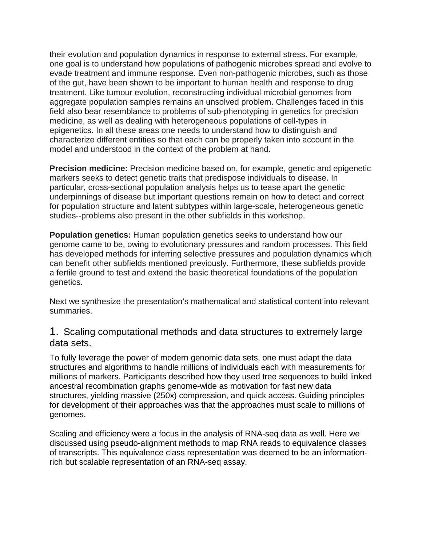their evolution and population dynamics in response to external stress. For example, one goal is to understand how populations of pathogenic microbes spread and evolve to evade treatment and immune response. Even non-pathogenic microbes, such as those of the gut, have been shown to be important to human health and response to drug treatment. Like tumour evolution, reconstructing individual microbial genomes from aggregate population samples remains an unsolved problem. Challenges faced in this field also bear resemblance to problems of sub-phenotyping in genetics for precision medicine, as well as dealing with heterogeneous populations of cell-types in epigenetics. In all these areas one needs to understand how to distinguish and characterize different entities so that each can be properly taken into account in the model and understood in the context of the problem at hand.

**Precision medicine:** Precision medicine based on, for example, genetic and epigenetic markers seeks to detect genetic traits that predispose individuals to disease. In particular, cross-sectional population analysis helps us to tease apart the genetic underpinnings of disease but important questions remain on how to detect and correct for population structure and latent subtypes within large-scale, heterogeneous genetic studies--problems also present in the other subfields in this workshop.

**Population genetics:** Human population genetics seeks to understand how our genome came to be, owing to evolutionary pressures and random processes. This field has developed methods for inferring selective pressures and population dynamics which can benefit other subfields mentioned previously. Furthermore, these subfields provide a fertile ground to test and extend the basic theoretical foundations of the population genetics.

Next we synthesize the presentation's mathematical and statistical content into relevant summaries.

### 1. Scaling computational methods and data structures to extremely large data sets.

To fully leverage the power of modern genomic data sets, one must adapt the data structures and algorithms to handle millions of individuals each with measurements for millions of markers. Participants described how they used tree sequences to build linked ancestral recombination graphs genome-wide as motivation for fast new data structures, yielding massive (250x) compression, and quick access. Guiding principles for development of their approaches was that the approaches must scale to millions of genomes.

Scaling and efficiency were a focus in the analysis of RNA-seq data as well. Here we discussed using pseudo-alignment methods to map RNA reads to equivalence classes of transcripts. This equivalence class representation was deemed to be an informationrich but scalable representation of an RNA-seq assay.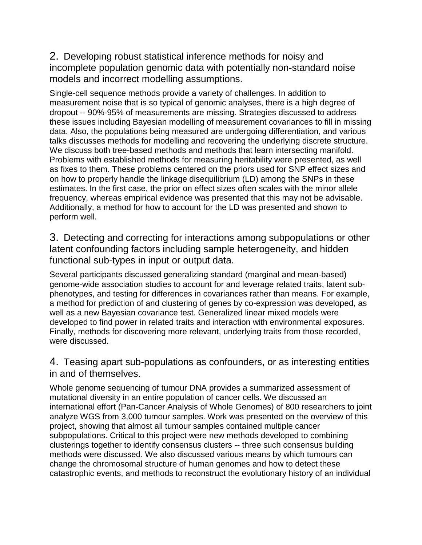2. Developing robust statistical inference methods for noisy and incomplete population genomic data with potentially non-standard noise models and incorrect modelling assumptions.

Single-cell sequence methods provide a variety of challenges. In addition to measurement noise that is so typical of genomic analyses, there is a high degree of dropout -- 90%-95% of measurements are missing. Strategies discussed to address these issues including Bayesian modelling of measurement covariances to fill in missing data. Also, the populations being measured are undergoing differentiation, and various talks discusses methods for modelling and recovering the underlying discrete structure. We discuss both tree-based methods and methods that learn intersecting manifold. Problems with established methods for measuring heritability were presented, as well as fixes to them. These problems centered on the priors used for SNP effect sizes and on how to properly handle the linkage disequilibrium (LD) among the SNPs in these estimates. In the first case, the prior on effect sizes often scales with the minor allele frequency, whereas empirical evidence was presented that this may not be advisable. Additionally, a method for how to account for the LD was presented and shown to perform well.

3. Detecting and correcting for interactions among subpopulations or other latent confounding factors including sample heterogeneity, and hidden functional sub-types in input or output data.

Several participants discussed generalizing standard (marginal and mean-based) genome-wide association studies to account for and leverage related traits, latent subphenotypes, and testing for differences in covariances rather than means. For example, a method for prediction of and clustering of genes by co-expression was developed, as well as a new Bayesian covariance test. Generalized linear mixed models were developed to find power in related traits and interaction with environmental exposures. Finally, methods for discovering more relevant, underlying traits from those recorded, were discussed.

4. Teasing apart sub-populations as confounders, or as interesting entities in and of themselves.

Whole genome sequencing of tumour DNA provides a summarized assessment of mutational diversity in an entire population of cancer cells. We discussed an international effort (Pan-Cancer Analysis of Whole Genomes) of 800 researchers to joint analyze WGS from 3,000 tumour samples. Work was presented on the overview of this project, showing that almost all tumour samples contained multiple cancer subpopulations. Critical to this project were new methods developed to combining clusterings together to identify consensus clusters -- three such consensus building methods were discussed. We also discussed various means by which tumours can change the chromosomal structure of human genomes and how to detect these catastrophic events, and methods to reconstruct the evolutionary history of an individual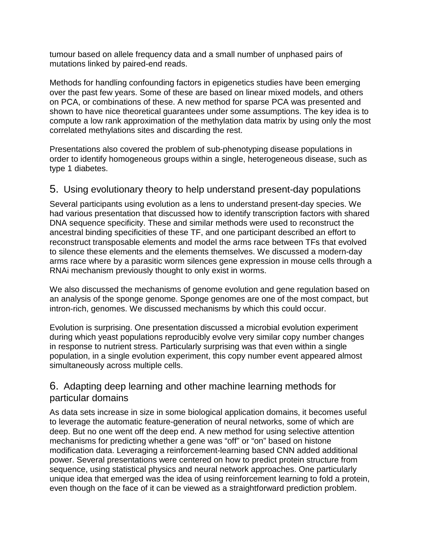tumour based on allele frequency data and a small number of unphased pairs of mutations linked by paired-end reads.

Methods for handling confounding factors in epigenetics studies have been emerging over the past few years. Some of these are based on linear mixed models, and others on PCA, or combinations of these. A new method for sparse PCA was presented and shown to have nice theoretical guarantees under some assumptions. The key idea is to compute a low rank approximation of the methylation data matrix by using only the most correlated methylations sites and discarding the rest.

Presentations also covered the problem of sub-phenotyping disease populations in order to identify homogeneous groups within a single, heterogeneous disease, such as type 1 diabetes.

### 5. Using evolutionary theory to help understand present-day populations

Several participants using evolution as a lens to understand present-day species. We had various presentation that discussed how to identify transcription factors with shared DNA sequence specificity. These and similar methods were used to reconstruct the ancestral binding specificities of these TF, and one participant described an effort to reconstruct transposable elements and model the arms race between TFs that evolved to silence these elements and the elements themselves. We discussed a modern-day arms race where by a parasitic worm silences gene expression in mouse cells through a RNAi mechanism previously thought to only exist in worms.

We also discussed the mechanisms of genome evolution and gene regulation based on an analysis of the sponge genome. Sponge genomes are one of the most compact, but intron-rich, genomes. We discussed mechanisms by which this could occur.

Evolution is surprising. One presentation discussed a microbial evolution experiment during which yeast populations reproducibly evolve very similar copy number changes in response to nutrient stress. Particularly surprising was that even within a single population, in a single evolution experiment, this copy number event appeared almost simultaneously across multiple cells.

### 6. Adapting deep learning and other machine learning methods for particular domains

As data sets increase in size in some biological application domains, it becomes useful to leverage the automatic feature-generation of neural networks, some of which are deep. But no one went off the deep end. A new method for using selective attention mechanisms for predicting whether a gene was "off" or "on" based on histone modification data. Leveraging a reinforcement-learning based CNN added additional power. Several presentations were centered on how to predict protein structure from sequence, using statistical physics and neural network approaches. One particularly unique idea that emerged was the idea of using reinforcement learning to fold a protein, even though on the face of it can be viewed as a straightforward prediction problem.